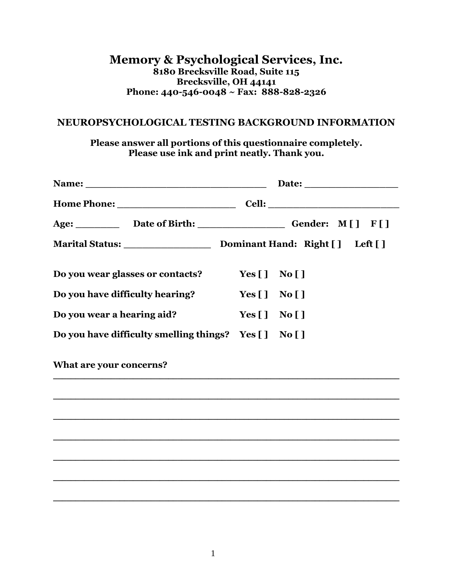### **Memory & Psychological Services, Inc. 8180 Brecksville Road, Suite 115 Brecksville, OH 44141 Phone: 440-546-0048 ~ Fax: 888-828-2326**

#### **NEUROPSYCHOLOGICAL TESTING BACKGROUND INFORMATION**

**Please answer all portions of this questionnaire completely. Please use ink and print neatly. Thank you.**

| Do you wear glasses or contacts?                     | Yes $[ \ ]$ No $[ ]$                                                                 |  |  |
|------------------------------------------------------|--------------------------------------------------------------------------------------|--|--|
| Do you have difficulty hearing?                      | Yes $\begin{bmatrix} 1 \\ 0 \end{bmatrix}$ No $\begin{bmatrix} 1 \\ 0 \end{bmatrix}$ |  |  |
| Do you wear a hearing aid?                           | Yes $\begin{bmatrix} 1 \\ 0 \\ 0 \end{bmatrix}$                                      |  |  |
| Do you have difficulty smelling things? Yes [] No [] |                                                                                      |  |  |
| What are your concerns?                              |                                                                                      |  |  |
|                                                      |                                                                                      |  |  |
|                                                      |                                                                                      |  |  |
|                                                      |                                                                                      |  |  |
|                                                      |                                                                                      |  |  |
|                                                      |                                                                                      |  |  |
|                                                      |                                                                                      |  |  |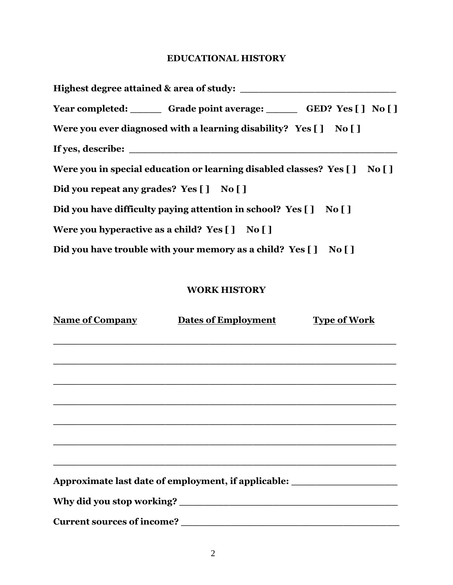### **EDUCATIONAL HISTORY**

| Year completed: Grade point average: GED? Yes [] No []                     |  |
|----------------------------------------------------------------------------|--|
| Were you ever diagnosed with a learning disability? Yes [] No []           |  |
|                                                                            |  |
| Were you in special education or learning disabled classes? Yes [ ] No [ ] |  |
| Did you repeat any grades? Yes [] No []                                    |  |
| Did you have difficulty paying attention in school? Yes [] No []           |  |
| Were you hyperactive as a child? $Yes [] No []$                            |  |
| Did you have trouble with your memory as a child? Yes [] No []             |  |

### **WORK HISTORY**

| <b>Name of Company</b> | <b>Dates of Employment</b>                          | <b>Type of Work</b> |
|------------------------|-----------------------------------------------------|---------------------|
|                        |                                                     |                     |
|                        |                                                     |                     |
|                        |                                                     |                     |
|                        |                                                     |                     |
|                        |                                                     |                     |
|                        |                                                     |                     |
|                        |                                                     |                     |
|                        | Approximate last date of employment, if applicable: |                     |
|                        |                                                     |                     |
|                        |                                                     |                     |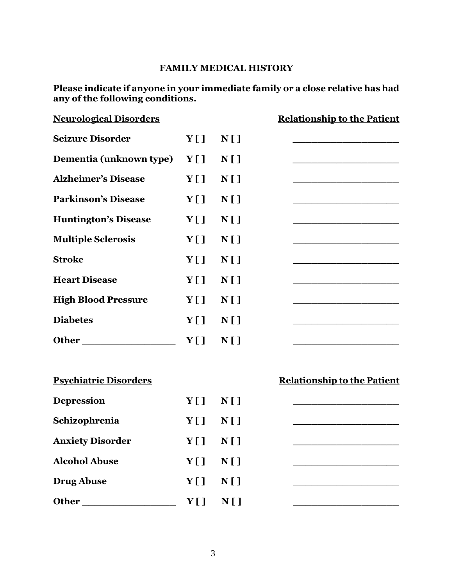### **FAMILY MEDICAL HISTORY**

**Please indicate if anyone in your immediate family or a close relative has had any of the following conditions.**

| <b>Neurological Disorders</b> |     |                | <b>Relationship to the Patient</b> |
|-------------------------------|-----|----------------|------------------------------------|
| <b>Seizure Disorder</b>       | Y[] | N[]            |                                    |
| Dementia (unknown type)       | Y[] | $N$ []         |                                    |
| <b>Alzheimer's Disease</b>    | Y[] | N[]            |                                    |
| <b>Parkinson's Disease</b>    | Y[] | N[]            |                                    |
| <b>Huntington's Disease</b>   | Y[] | N[]            |                                    |
| <b>Multiple Sclerosis</b>     | Y[] | N[]            |                                    |
| <b>Stroke</b>                 | Y[] | N[]            |                                    |
| <b>Heart Disease</b>          | Y[] | N[]            |                                    |
| <b>High Blood Pressure</b>    | Y[] | N[]            |                                    |
| <b>Diabetes</b>               | Y[] | N[]            |                                    |
|                               | Y[] | N[]            |                                    |
| <b>Psychiatric Disorders</b>  |     |                | <b>Relationship to the Patient</b> |
| <b>Depression</b>             | Y[] | N[]            |                                    |
| Schizophrenia                 | Y[] | N[]            |                                    |
| <b>Anxiety Disorder</b>       | Y[] | $N$ []         |                                    |
| <b>Alcohol Abuse</b>          | Y[] | N[]            |                                    |
| <b>Drug Abuse</b>             | Y[] | N <sub>1</sub> |                                    |
| Other_                        | Y[] | N <sub>1</sub> |                                    |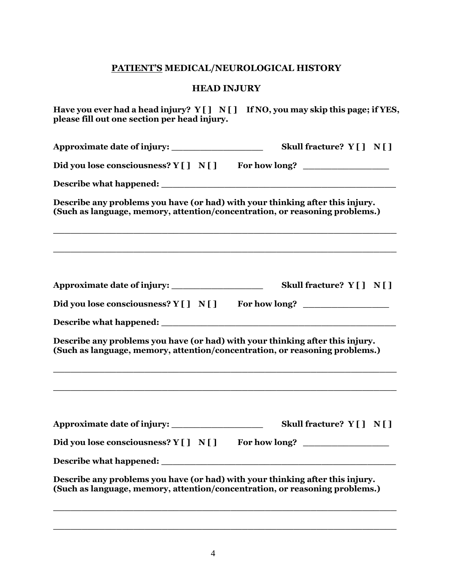## **PATIENT'S MEDICAL/NEUROLOGICAL HISTORY**

### **HEAD INJURY**

| please fill out one section per head injury.                                                                                                                 | Have you ever had a head injury? Y [ ] N [ ] If NO, you may skip this page; if YES,                                                                               |
|--------------------------------------------------------------------------------------------------------------------------------------------------------------|-------------------------------------------------------------------------------------------------------------------------------------------------------------------|
|                                                                                                                                                              | Skull fracture? $Y[\ ]\ N[\ ]$                                                                                                                                    |
| Did you lose consciousness? Y [ ] N [ ] For how long?                                                                                                        |                                                                                                                                                                   |
|                                                                                                                                                              |                                                                                                                                                                   |
| Describe any problems you have (or had) with your thinking after this injury.<br>(Such as language, memory, attention/concentration, or reasoning problems.) |                                                                                                                                                                   |
|                                                                                                                                                              | ,我们也不能会在这里,我们的人们也不能会在这里,我们也不能会在这里,我们也不能会在这里,我们也不能会在这里,我们也不能会在这里,我们也不能会不能会不能会。<br>第2012章 我们的人们,我们的人们的人们,我们的人们的人们,我们的人们的人们,我们的人们的人们,我们的人们的人们,我们的人们的人们,我们的人们的人们,我们的人 |
|                                                                                                                                                              | Skull fracture? Y [ ] N [ ]                                                                                                                                       |
| Did you lose consciousness? Y [ ] N [ ] For how long?                                                                                                        |                                                                                                                                                                   |
|                                                                                                                                                              |                                                                                                                                                                   |
| Describe any problems you have (or had) with your thinking after this injury.<br>(Such as language, memory, attention/concentration, or reasoning problems.) |                                                                                                                                                                   |
|                                                                                                                                                              | Skull fracture? Y [ ] N [ ]                                                                                                                                       |
|                                                                                                                                                              |                                                                                                                                                                   |
| Did you lose consciousness? Y [ ] N [ ]                                                                                                                      | For how long? _                                                                                                                                                   |
|                                                                                                                                                              |                                                                                                                                                                   |
| Describe any problems you have (or had) with your thinking after this injury.<br>(Such as language, memory, attention/concentration, or reasoning problems.) |                                                                                                                                                                   |

**\_\_\_\_\_\_\_\_\_\_\_\_\_\_\_\_\_\_\_\_\_\_\_\_\_\_\_\_\_\_\_\_\_\_\_\_\_\_\_\_\_\_\_\_\_\_\_\_\_\_\_\_\_\_\_\_\_\_\_\_**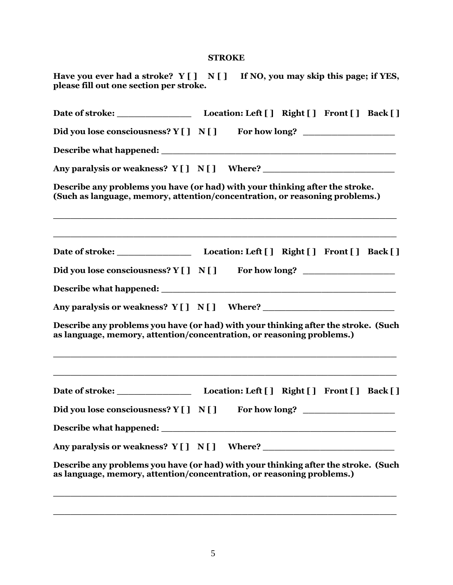#### **STROKE**

| Did you lose consciousness? Y [ ] N [ ] For how long?                                                                                                       |  |  |  |
|-------------------------------------------------------------------------------------------------------------------------------------------------------------|--|--|--|
|                                                                                                                                                             |  |  |  |
| Any paralysis or weakness? Y [ ] N [ ] Where? __________________________________                                                                            |  |  |  |
| Describe any problems you have (or had) with your thinking after the stroke.<br>(Such as language, memory, attention/concentration, or reasoning problems.) |  |  |  |
|                                                                                                                                                             |  |  |  |
| Did you lose consciousness? Y [ ] N [ ] For how long? __________________________                                                                            |  |  |  |
|                                                                                                                                                             |  |  |  |
| Any paralysis or weakness? Y [ ] N [ ] Where?                                                                                                               |  |  |  |
| Describe any problems you have (or had) with your thinking after the stroke. (Such<br>as language, memory, attention/concentration, or reasoning problems.) |  |  |  |
|                                                                                                                                                             |  |  |  |
| Did you lose consciousness? $Y[\ ] \ N[\ ]$ For how long?                                                                                                   |  |  |  |
|                                                                                                                                                             |  |  |  |
| Any paralysis or weakness? $Y[] N[]$ Where?                                                                                                                 |  |  |  |
| Describe any problems you have (or had) with your thinking after the stroke. (Such<br>as language, memory, attention/concentration, or reasoning problems.) |  |  |  |

**\_\_\_\_\_\_\_\_\_\_\_\_\_\_\_\_\_\_\_\_\_\_\_\_\_\_\_\_\_\_\_\_\_\_\_\_\_\_\_\_\_\_\_\_\_\_\_\_\_\_\_\_\_\_\_\_\_\_\_\_**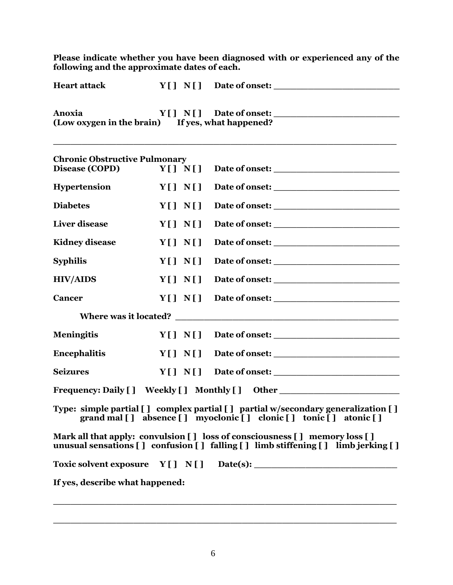**Please indicate whether you have been diagnosed with or experienced any of the following and the approximate dates of each.**

| <b>Heart attack</b>                                        | $Y[\ ]\ N[\ ]\$ Date of onset: |  |
|------------------------------------------------------------|--------------------------------|--|
| Anoxia<br>(Low oxygen in the brain) If yes, what happened? | $Y[\ ]\ N[\ ]\$ Date of onset: |  |

**\_\_\_\_\_\_\_\_\_\_\_\_\_\_\_\_\_\_\_\_\_\_\_\_\_\_\_\_\_\_\_\_\_\_\_\_\_\_\_\_\_\_\_\_\_\_\_\_\_\_\_\_\_\_\_\_\_\_\_\_**

| <b>Chronic Obstructive Pulmonary</b><br>Disease (COPD) | Y[1 N[1] |                                                                                                                                                                |
|--------------------------------------------------------|----------|----------------------------------------------------------------------------------------------------------------------------------------------------------------|
|                                                        |          |                                                                                                                                                                |
| <b>Hypertension</b>                                    | Y[1 N[1] |                                                                                                                                                                |
| <b>Diabetes</b>                                        | Y[] N[]  |                                                                                                                                                                |
| <b>Liver</b> disease                                   | Y[] N[]  |                                                                                                                                                                |
| <b>Kidney disease</b>                                  | Y[] N[]  |                                                                                                                                                                |
| <b>Syphilis</b>                                        | Y[] N[]  |                                                                                                                                                                |
| <b>HIV/AIDS</b>                                        | Y[] N[]  |                                                                                                                                                                |
| <b>Cancer</b>                                          | Y[] N[]  |                                                                                                                                                                |
|                                                        |          |                                                                                                                                                                |
| <b>Meningitis</b>                                      | Y[] N[]  |                                                                                                                                                                |
| <b>Encephalitis</b>                                    | Y[] N[]  |                                                                                                                                                                |
| <b>Seizures</b>                                        | Y[] N[]  |                                                                                                                                                                |
|                                                        |          | Frequency: Daily [] Weekly [] Monthly [] Other _________________________________                                                                               |
|                                                        |          | Type: simple partial [] complex partial [] partial w/secondary generalization []<br>grand mal [] absence [] myoclonic [] clonic [] tonic [] atonic []          |
|                                                        |          | Mark all that apply: convulsion [] loss of consciousness [] memory loss []<br>unusual sensations [] confusion [] falling [] limb stiffening [] limb jerking [] |
|                                                        |          |                                                                                                                                                                |
| If yes, describe what happened:                        |          |                                                                                                                                                                |

**\_\_\_\_\_\_\_\_\_\_\_\_\_\_\_\_\_\_\_\_\_\_\_\_\_\_\_\_\_\_\_\_\_\_\_\_\_\_\_\_\_\_\_\_\_\_\_\_\_\_\_\_\_\_\_\_\_\_\_\_**

**\_\_\_\_\_\_\_\_\_\_\_\_\_\_\_\_\_\_\_\_\_\_\_\_\_\_\_\_\_\_\_\_\_\_\_\_\_\_\_\_\_\_\_\_\_\_\_\_\_\_\_\_\_\_\_\_\_\_\_\_**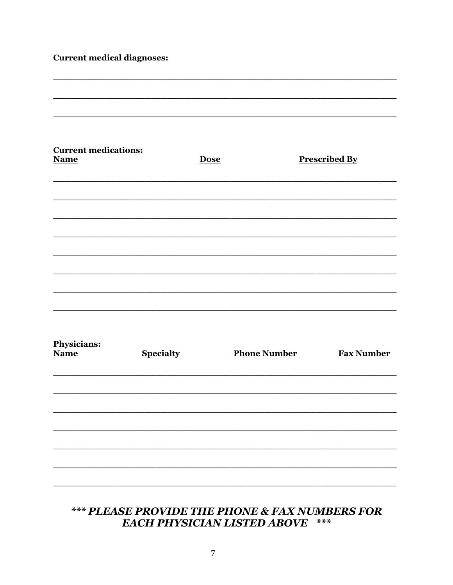### **Current medical diagnoses:**

| <b>Current medications:</b><br><b>Name</b> |                  | <b>Dose</b> |                     | <b>Prescribed By</b> |
|--------------------------------------------|------------------|-------------|---------------------|----------------------|
|                                            |                  |             |                     |                      |
|                                            |                  |             |                     |                      |
|                                            |                  |             |                     |                      |
|                                            |                  |             |                     |                      |
| Physicians:<br><b>Name</b>                 | <b>Specialty</b> |             | <b>Phone Number</b> | <b>Fax Number</b>    |
|                                            |                  |             |                     |                      |
|                                            |                  |             |                     |                      |
|                                            |                  |             |                     |                      |

# \*\*\* PLEASE PROVIDE THE PHONE & FAX NUMBERS FOR **EACH PHYSICIAN LISTED ABOVE \*\*\***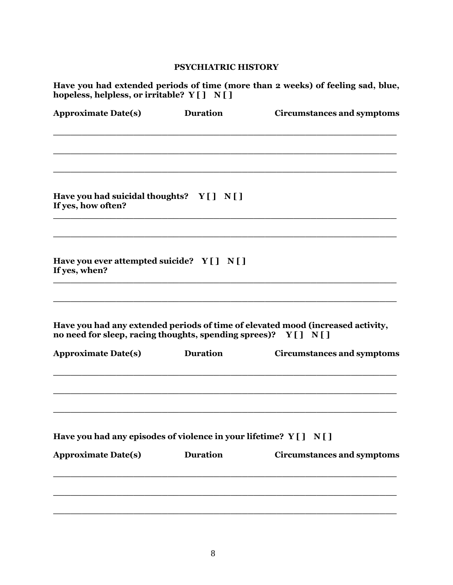#### **PSYCHIATRIC HISTORY**

**Have you had extended periods of time (more than 2 weeks) of feeling sad, blue, hopeless, helpless, or irritable? Y [ ] N [ ]**

| <b>Approximate Date(s)</b>                                          | <b>Duration</b> | <b>Circumstances and symptoms</b>                                               |
|---------------------------------------------------------------------|-----------------|---------------------------------------------------------------------------------|
|                                                                     |                 |                                                                                 |
| Have you had suicidal thoughts? Y[] N[]<br>If yes, how often?       |                 |                                                                                 |
| Have you ever attempted suicide? Y[] N[]<br>If yes, when?           |                 |                                                                                 |
| no need for sleep, racing thoughts, spending sprees)? Y[] N[]       |                 | Have you had any extended periods of time of elevated mood (increased activity, |
| <b>Approximate Date(s)</b>                                          | <b>Duration</b> | <b>Circumstances and symptoms</b>                                               |
| Have you had any episodes of violence in your lifetime? Y [ ] N [ ] |                 |                                                                                 |
| <b>Approximate Date(s)</b>                                          | <b>Duration</b> | <b>Circumstances and symptoms</b>                                               |
|                                                                     |                 |                                                                                 |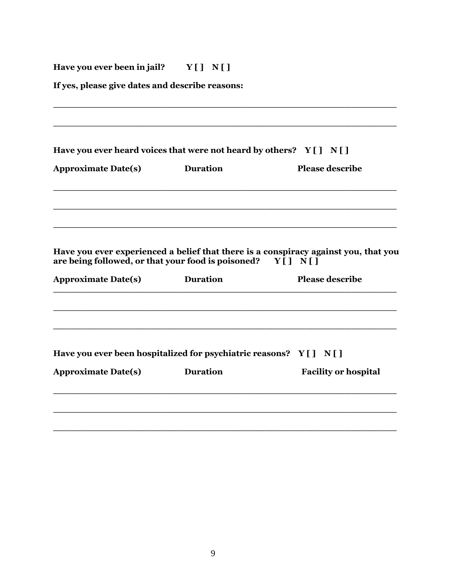# **Have you ever been in jail? Y [ ] N [ ]**

**If yes, please give dates and describe reasons:** 

|                            | Have you ever heard voices that were not heard by others? $Y[\ ] \ N[\ ]$        |                                                                                                               |
|----------------------------|----------------------------------------------------------------------------------|---------------------------------------------------------------------------------------------------------------|
| <b>Approximate Date(s)</b> | <b>Duration</b>                                                                  | <b>Please describe</b>                                                                                        |
|                            |                                                                                  |                                                                                                               |
| <b>Approximate Date(s)</b> | are being followed, or that your food is poisoned? $Y \cap Y$<br><b>Duration</b> | Have you ever experienced a belief that there is a conspiracy against you, that you<br><b>Please describe</b> |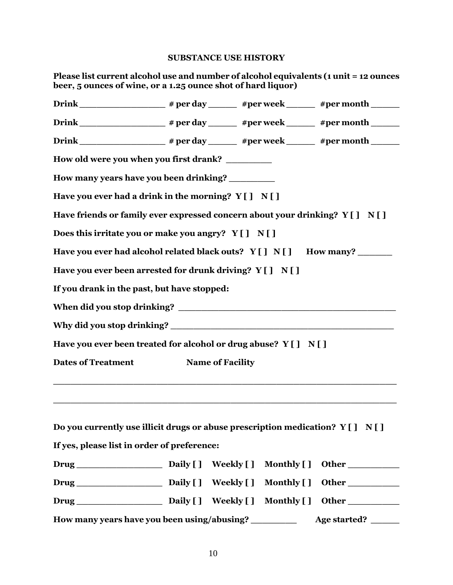#### **SUBSTANCE USE HISTORY**

| Please list current alcohol use and number of alcohol equivalents (1 unit = 12 ounces<br>beer, 5 ounces of wine, or a 1.25 ounce shot of hard liquor) |                         |                    |                  |
|-------------------------------------------------------------------------------------------------------------------------------------------------------|-------------------------|--------------------|------------------|
|                                                                                                                                                       |                         |                    |                  |
|                                                                                                                                                       |                         |                    |                  |
|                                                                                                                                                       |                         |                    |                  |
| How old were you when you first drank? _________                                                                                                      |                         |                    |                  |
| How many years have you been drinking?                                                                                                                |                         |                    |                  |
| Have you ever had a drink in the morning? $Y[] N[]$                                                                                                   |                         |                    |                  |
| Have friends or family ever expressed concern about your drinking? Y [ ] N [ ]                                                                        |                         |                    |                  |
| Does this irritate you or make you angry? $Y[] N[]$                                                                                                   |                         |                    |                  |
| Have you ever had alcohol related black outs? Y [ ] N [ ] How many?                                                                                   |                         |                    |                  |
| Have you ever been arrested for drunk driving? $Y[] N[]$                                                                                              |                         |                    |                  |
| If you drank in the past, but have stopped:                                                                                                           |                         |                    |                  |
|                                                                                                                                                       |                         |                    |                  |
|                                                                                                                                                       |                         |                    |                  |
| Have you ever been treated for alcohol or drug abuse? Y [ ] N [ ]                                                                                     |                         |                    |                  |
| <b>Dates of Treatment</b>                                                                                                                             | <b>Name of Facility</b> |                    |                  |
|                                                                                                                                                       |                         |                    |                  |
|                                                                                                                                                       |                         |                    |                  |
| Do you currently use illicit drugs or abuse prescription medication? $Y[] N[]$                                                                        |                         |                    |                  |
| If yes, please list in order of preference:                                                                                                           |                         |                    |                  |
|                                                                                                                                                       |                         |                    | Monthly [] Other |
|                                                                                                                                                       |                         | <b>Monthly</b> [ ] |                  |
|                                                                                                                                                       |                         |                    |                  |
| How many years have you been using/abusing?                                                                                                           |                         |                    | Age started?     |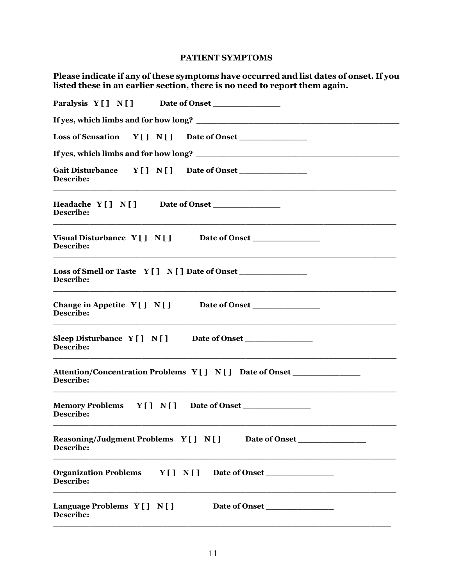#### **PATIENT SYMPTOMS**

**Please indicate if any of these symptoms have occurred and list dates of onset. If you listed these in an earlier section, there is no need to report them again.**

| Paralysis Y [] N [] Date of Onset                                                                    |
|------------------------------------------------------------------------------------------------------|
|                                                                                                      |
| Loss of Sensation Y [] N [] Date of Onset                                                            |
|                                                                                                      |
| $Y[ ] N[ ]$ Date of Onset<br><b>Gait Disturbance</b><br>Describe:                                    |
| Headache Y[] N[] Date of Onset<br>Describe:                                                          |
| Visual Disturbance Y [ ] N [ ] Date of Onset ___________________________________<br><b>Describe:</b> |
| Loss of Smell or Taste $Y[] N[]$ Date of Onset<br>Describe:                                          |
| Change in Appetite Y [ ] N [ ] Date of Onset<br>Describe:                                            |
| Sleep Disturbance $Y[] N[]$ Date of Onset<br>Describe:                                               |
| Attention/Concentration Problems Y [] N [] Date of Onset<br>Describe:                                |
| Memory Problems Y [] N [] Date of Onset<br>Describe:                                                 |
| Reasoning/Judgment Problems Y [ ] N [ ] Date of Onset<br><b>Describe:</b>                            |
| Organization Problems Y [] N [] Date of Onset<br>Describe:                                           |
| Language Problems $Y[] N[]$<br>Date of Onset<br>Describe:                                            |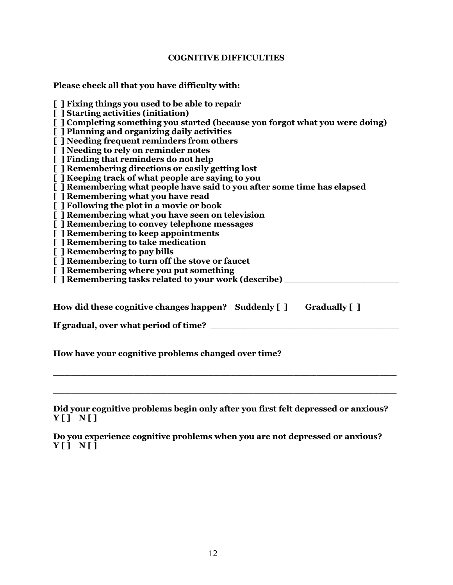#### **COGNITIVE DIFFICULTIES**

**Please check all that you have difficulty with:**

**[ ] Fixing things you used to be able to repair [ ] Starting activities (initiation) [ ] Completing something you started (because you forgot what you were doing) [ ] Planning and organizing daily activities [ ] Needing frequent reminders from others [ ] Needing to rely on reminder notes [ ] Finding that reminders do not help [ ] Remembering directions or easily getting lost [ ] Keeping track of what people are saying to you [ ] Remembering what people have said to you after some time has elapsed [ ] Remembering what you have read [ ] Following the plot in a movie or book [ ] Remembering what you have seen on television [ ] Remembering to convey telephone messages [ ] Remembering to keep appointments [ ] Remembering to take medication [ ] Remembering to pay bills [ ] Remembering to turn off the stove or faucet [ ] Remembering where you put something [ ] Remembering tasks related to your work (describe) \_\_\_\_\_\_\_\_\_\_\_\_\_\_\_\_\_\_\_\_ How did these cognitive changes happen? Suddenly [ ] Gradually [ ] If gradual, over what period of time?**  $\blacksquare$ 

**How have your cognitive problems changed over time?** 

**Did your cognitive problems begin only after you first felt depressed or anxious? Y [ ] N [ ]**

**\_\_\_\_\_\_\_\_\_\_\_\_\_\_\_\_\_\_\_\_\_\_\_\_\_\_\_\_\_\_\_\_\_\_\_\_\_\_\_\_\_\_\_\_\_\_\_\_\_\_\_\_\_\_\_\_\_\_\_\_**

**\_\_\_\_\_\_\_\_\_\_\_\_\_\_\_\_\_\_\_\_\_\_\_\_\_\_\_\_\_\_\_\_\_\_\_\_\_\_\_\_\_\_\_\_\_\_\_\_\_\_\_\_\_\_\_\_\_\_\_\_**

**Do you experience cognitive problems when you are not depressed or anxious? Y [ ] N [ ]**